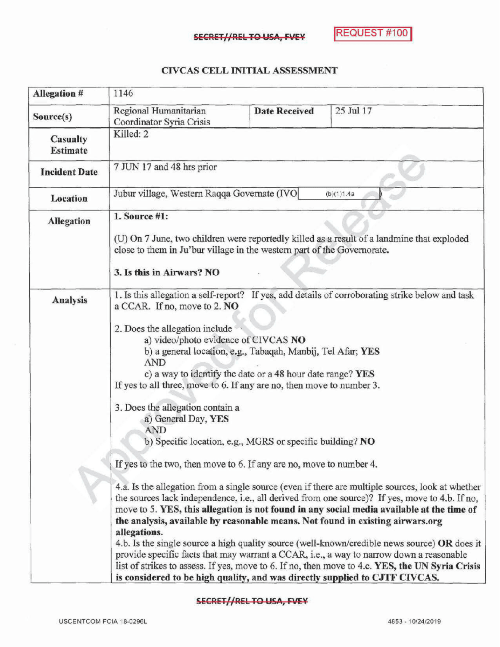## CIVCAS CELL INITIALASSESSMENT

| Allegation #         | 1146                                                                                                                                                                                                                                                                                                                                                                                                                                                                                                                                                                                                                                                                                                                                                                                                                                                                                                                                                                                                                                                                                                                                                                                                                                                                                                                                                                                                                         |                      |           |  |
|----------------------|------------------------------------------------------------------------------------------------------------------------------------------------------------------------------------------------------------------------------------------------------------------------------------------------------------------------------------------------------------------------------------------------------------------------------------------------------------------------------------------------------------------------------------------------------------------------------------------------------------------------------------------------------------------------------------------------------------------------------------------------------------------------------------------------------------------------------------------------------------------------------------------------------------------------------------------------------------------------------------------------------------------------------------------------------------------------------------------------------------------------------------------------------------------------------------------------------------------------------------------------------------------------------------------------------------------------------------------------------------------------------------------------------------------------------|----------------------|-----------|--|
| Source(s)            | Regional Humanitarian<br>Coordinator Syria Crisis                                                                                                                                                                                                                                                                                                                                                                                                                                                                                                                                                                                                                                                                                                                                                                                                                                                                                                                                                                                                                                                                                                                                                                                                                                                                                                                                                                            | <b>Date Received</b> | 25 Jul 17 |  |
| Casualty<br>Estimate | Killed: 2                                                                                                                                                                                                                                                                                                                                                                                                                                                                                                                                                                                                                                                                                                                                                                                                                                                                                                                                                                                                                                                                                                                                                                                                                                                                                                                                                                                                                    |                      |           |  |
| <b>Incident Date</b> | 7 JUN 17 and 48 hrs prior                                                                                                                                                                                                                                                                                                                                                                                                                                                                                                                                                                                                                                                                                                                                                                                                                                                                                                                                                                                                                                                                                                                                                                                                                                                                                                                                                                                                    |                      |           |  |
| Location             | Jubur village, Western Raqqa Governate (IVO)<br>(b)(1)1.4a                                                                                                                                                                                                                                                                                                                                                                                                                                                                                                                                                                                                                                                                                                                                                                                                                                                                                                                                                                                                                                                                                                                                                                                                                                                                                                                                                                   |                      |           |  |
| <b>Allegation</b>    | 1. Source #1:<br>(U) On 7 June, two children were reportedly killed as a result of a landmine that exploded<br>close to them in Ju'bur village in the western part of the Governorate.<br>3. Is this in Airwars? NO                                                                                                                                                                                                                                                                                                                                                                                                                                                                                                                                                                                                                                                                                                                                                                                                                                                                                                                                                                                                                                                                                                                                                                                                          |                      |           |  |
| Analysis             | 1. Is this allegation a self-report? If yes, add details of corroborating strike below and task<br>a CCAR. If no, move to 2. NO<br>2. Does the allegation include<br>a) video/photo evidence of CIVCAS NO<br>b) a general location, e.g., Tabaqah, Manbij, Tel Afar; YES<br><b>AND</b><br>c) a way to identify the date or a 48 hour date range? YES<br>If yes to all three, move to 6. If any are no, then move to number 3.<br>3. Does the allegation contain a<br>a) General Day, YES<br><b>AND</b><br>b) Specific location, e.g., MGRS or specific building? NO<br>If yes to the two, then move to 6. If any are no, move to number 4.<br>4.a. Is the allegation from a single source (even if there are multiple sources, look at whether<br>the sources lack independence, i.e., all derived from one source)? If yes, move to 4.b. If no,<br>move to 5. YES, this allegation is not found in any social media available at the time of<br>the analysis, available by reasonable means. Not found in existing airwars.org<br>allegations.<br>4.b. Is the single source a high quality source (well-known/credible news source) OR does it<br>provide specific facts that may warrant a CCAR, i.e., a way to narrow down a reasonable<br>list of strikes to assess. If yes, move to 6. If no, then move to 4.c. YES, the UN Syria Crisis<br>is considered to be high quality, and was directly supplied to CJTF CIVCAS. |                      |           |  |

## SECRET//REL TO USA, FVEY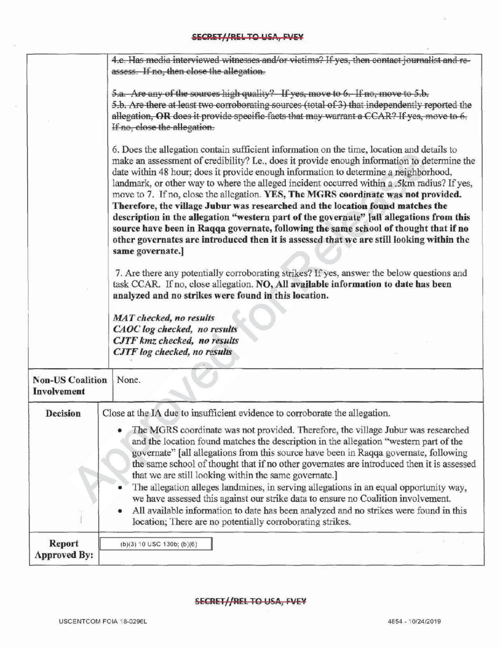|                                        | 4.c. Has media interviewed witnesses and/or victims? If yes, then contact journalist and re-                                                                                                                                                                                                                                                                                                                                                                                                                                                                                                                                                                                                                                                                                                                                                                                                                                                                                                                                                                                                                                                                                                                                                |  |  |
|----------------------------------------|---------------------------------------------------------------------------------------------------------------------------------------------------------------------------------------------------------------------------------------------------------------------------------------------------------------------------------------------------------------------------------------------------------------------------------------------------------------------------------------------------------------------------------------------------------------------------------------------------------------------------------------------------------------------------------------------------------------------------------------------------------------------------------------------------------------------------------------------------------------------------------------------------------------------------------------------------------------------------------------------------------------------------------------------------------------------------------------------------------------------------------------------------------------------------------------------------------------------------------------------|--|--|
|                                        | assess. If no, then close the allegation.                                                                                                                                                                                                                                                                                                                                                                                                                                                                                                                                                                                                                                                                                                                                                                                                                                                                                                                                                                                                                                                                                                                                                                                                   |  |  |
|                                        | 5.a. Are any of the sources high quality? If yes, move to 6. If no, move to 5.b.<br>5.b. Are there at least two corroborating sources (total of 3) that independently reported the<br>allegation, OR does it provide specific facts that may warrant a CCAR? If yes, move to 6.<br>If no, close the allegation.                                                                                                                                                                                                                                                                                                                                                                                                                                                                                                                                                                                                                                                                                                                                                                                                                                                                                                                             |  |  |
|                                        | 6. Does the allegation contain sufficient information on the time, location and details to<br>make an assessment of credibility? I.e., does it provide enough information to determine the<br>date within 48 hour; does it provide enough information to determine a neighborhood,<br>landmark, or other way to where the alleged incident occurred within a .5km radius? If yes,<br>move to 7. If no, close the allegation. YES, The MGRS coordinate was not provided.<br>Therefore, the village Jubur was researched and the location found matches the<br>description in the allegation "western part of the governate" [all allegations from this<br>source have been in Raqqa governate, following the same school of thought that if no<br>other governates are introduced then it is assessed that we are still looking within the<br>same governate.]<br>7. Are there any potentially corroborating strikes? If yes, answer the below questions and<br>task CCAR. If no, close allegation. NO, All available information to date has been<br>analyzed and no strikes were found in this location.<br><b>MAT</b> checked, no results<br>CAOC log checked, no results<br>CJTF kmz checked, no results<br>CJTF log checked, no results |  |  |
| <b>Non-US Coalition</b><br>Involvement | None.                                                                                                                                                                                                                                                                                                                                                                                                                                                                                                                                                                                                                                                                                                                                                                                                                                                                                                                                                                                                                                                                                                                                                                                                                                       |  |  |
| <b>Decision</b>                        | Close at the IA due to insufficient evidence to corroborate the allegation.                                                                                                                                                                                                                                                                                                                                                                                                                                                                                                                                                                                                                                                                                                                                                                                                                                                                                                                                                                                                                                                                                                                                                                 |  |  |
|                                        | The MGRS coordinate was not provided. Therefore, the village Jubur was researched<br>and the location found matches the description in the allegation "western part of the<br>governate" [all allegations from this source have been in Raqqa governate, following<br>the same school of thought that if no other governates are introduced then it is assessed<br>that we are still looking within the same governate.]<br>The allegation alleges landmines, in serving allegations in an equal opportunity way,<br>we have assessed this against our strike data to ensure no Coalition involvement.<br>All available information to date has been analyzed and no strikes were found in this<br>location; There are no potentially corroborating strikes.                                                                                                                                                                                                                                                                                                                                                                                                                                                                                |  |  |
| <b>Report</b><br><b>Approved By:</b>   | $(b)(3) 10$ USC 130b; $(b)(6)$                                                                                                                                                                                                                                                                                                                                                                                                                                                                                                                                                                                                                                                                                                                                                                                                                                                                                                                                                                                                                                                                                                                                                                                                              |  |  |

×